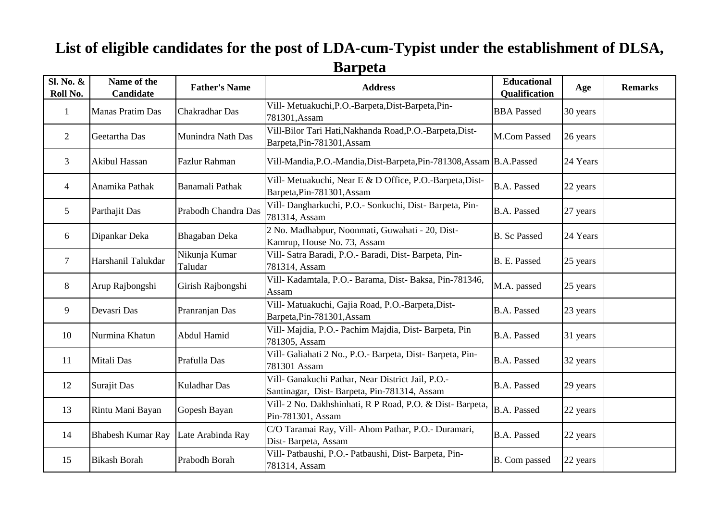## **List of eligible candidates for the post of LDA-cum-Typist under the establishment of DLSA, Barpeta**

| Sl. No. &<br>Roll No. | Name of the<br>Candidate | <b>Father's Name</b>     | <b>Address</b>                                                                                   | <b>Educational</b><br>Qualification | Age      | <b>Remarks</b> |
|-----------------------|--------------------------|--------------------------|--------------------------------------------------------------------------------------------------|-------------------------------------|----------|----------------|
| 1                     | Manas Pratim Das         | <b>Chakradhar Das</b>    | Vill- Metuakuchi, P.O.-Barpeta, Dist-Barpeta, Pin-<br>781301, Assam                              | <b>BBA</b> Passed                   | 30 years |                |
| $\overline{2}$        | Geetartha Das            | Munindra Nath Das        | Vill-Bilor Tari Hati, Nakhanda Road, P.O.-Barpeta, Dist-<br>Barpeta, Pin-781301, Assam           | M.Com Passed                        | 26 years |                |
| 3                     | <b>Akibul Hassan</b>     | <b>Fazlur Rahman</b>     | Vill-Mandia, P.O.-Mandia, Dist-Barpeta, Pin-781308, Assam   B.A. Passed                          |                                     | 24 Years |                |
| 4                     | Anamika Pathak           | Banamali Pathak          | Vill- Metuakuchi, Near E & D Office, P.O.-Barpeta, Dist-<br>Barpeta, Pin-781301, Assam           | <b>B.A. Passed</b>                  | 22 years |                |
| 5                     | Parthajit Das            | Prabodh Chandra Das      | Vill- Dangharkuchi, P.O.- Sonkuchi, Dist- Barpeta, Pin-<br>781314, Assam                         | <b>B.A. Passed</b>                  | 27 years |                |
| 6                     | Dipankar Deka            | Bhagaban Deka            | 2 No. Madhabpur, Noonmati, Guwahati - 20, Dist-<br>Kamrup, House No. 73, Assam                   | <b>B.</b> Sc Passed                 | 24 Years |                |
| $\overline{7}$        | Harshanil Talukdar       | Nikunja Kumar<br>Taludar | Vill- Satra Baradi, P.O.- Baradi, Dist- Barpeta, Pin-<br>781314, Assam                           | B. E. Passed                        | 25 years |                |
| 8                     | Arup Rajbongshi          | Girish Rajbongshi        | Vill- Kadamtala, P.O.- Barama, Dist- Baksa, Pin-781346,<br>Assam                                 | M.A. passed                         | 25 years |                |
| 9                     | Devasri Das              | Pranranjan Das           | Vill- Matuakuchi, Gajia Road, P.O.-Barpeta, Dist-<br>Barpeta, Pin-781301, Assam                  | <b>B.A. Passed</b>                  | 23 years |                |
| 10                    | Nurmina Khatun           | Abdul Hamid              | Vill- Majdia, P.O.- Pachim Majdia, Dist- Barpeta, Pin<br>781305, Assam                           | <b>B.A. Passed</b>                  | 31 years |                |
| 11                    | Mitali Das               | Prafulla Das             | Vill- Galiahati 2 No., P.O.- Barpeta, Dist- Barpeta, Pin-<br>781301 Assam                        | <b>B.A. Passed</b>                  | 32 years |                |
| 12                    | Surajit Das              | <b>Kuladhar Das</b>      | Vill- Ganakuchi Pathar, Near District Jail, P.O.-<br>Santinagar, Dist-Barpeta, Pin-781314, Assam | <b>B.A. Passed</b>                  | 29 years |                |
| 13                    | Rintu Mani Bayan         | Gopesh Bayan             | Vill- 2 No. Dakhshinhati, R P Road, P.O. & Dist-Barpeta,<br>Pin-781301, Assam                    | B.A. Passed                         | 22 years |                |
| 14                    | <b>Bhabesh Kumar Ray</b> | Late Arabinda Ray        | C/O Taramai Ray, Vill- Ahom Pathar, P.O.- Duramari,<br>Dist-Barpeta, Assam                       | <b>B.A. Passed</b>                  | 22 years |                |
| 15                    | <b>Bikash Borah</b>      | Prabodh Borah            | Vill- Patbaushi, P.O.- Patbaushi, Dist- Barpeta, Pin-<br>781314, Assam                           | B. Com passed                       | 22 years |                |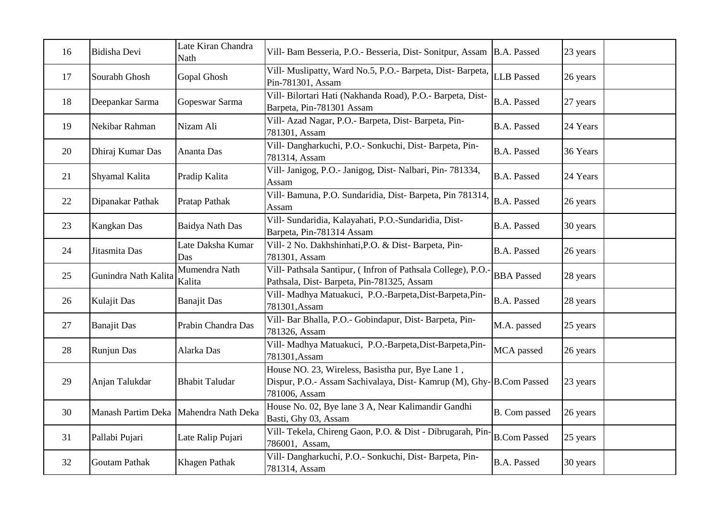| 16 | Bidisha Devi         | Late Kiran Chandra<br>Nath            | Vill- Bam Besseria, P.O.- Besseria, Dist- Sonitpur, Assam                                                                                 | <b>B.A. Passed</b>  | 23 years |
|----|----------------------|---------------------------------------|-------------------------------------------------------------------------------------------------------------------------------------------|---------------------|----------|
| 17 | Sourabh Ghosh        | Gopal Ghosh                           | Vill- Muslipatty, Ward No.5, P.O.- Barpeta, Dist- Barpeta,<br>Pin-781301, Assam                                                           | <b>LLB</b> Passed   | 26 years |
| 18 | Deepankar Sarma      | Gopeswar Sarma                        | Vill- Bilortari Hati (Nakhanda Road), P.O.- Barpeta, Dist-<br>Barpeta, Pin-781301 Assam                                                   | <b>B.A. Passed</b>  | 27 years |
| 19 | Nekibar Rahman       | Nizam Ali                             | Vill- Azad Nagar, P.O.- Barpeta, Dist- Barpeta, Pin-<br>781301, Assam                                                                     | <b>B.A. Passed</b>  | 24 Years |
| 20 | Dhiraj Kumar Das     | Ananta Das                            | Vill- Dangharkuchi, P.O.- Sonkuchi, Dist- Barpeta, Pin-<br>781314, Assam                                                                  | <b>B.A. Passed</b>  | 36 Years |
| 21 | Shyamal Kalita       | Pradip Kalita                         | Vill- Janigog, P.O.- Janigog, Dist- Nalbari, Pin- 781334,<br>Assam                                                                        | <b>B.A. Passed</b>  | 24 Years |
| 22 | Dipanakar Pathak     | Pratap Pathak                         | Vill- Bamuna, P.O. Sundaridia, Dist- Barpeta, Pin 781314.<br>Assam                                                                        | <b>B.A. Passed</b>  | 26 years |
| 23 | Kangkan Das          | Baidya Nath Das                       | Vill- Sundaridia, Kalayahati, P.O.-Sundaridia, Dist-<br>Barpeta, Pin-781314 Assam                                                         | <b>B.A. Passed</b>  | 30 years |
| 24 | Jitasmita Das        | Late Daksha Kumar<br>Das              | Vill- 2 No. Dakhshinhati, P.O. & Dist-Barpeta, Pin-<br>781301, Assam                                                                      | <b>B.A. Passed</b>  | 26 years |
| 25 | Gunindra Nath Kalita | Mumendra Nath<br>Kalita               | Vill- Pathsala Santipur, (Infron of Pathsala College), P.O.<br>Pathsala, Dist-Barpeta, Pin-781325, Assam                                  | <b>BBA</b> Passed   | 28 years |
| 26 | <b>Kulajit Das</b>   | <b>Banajit Das</b>                    | Vill- Madhya Matuakuci, P.O.-Barpeta, Dist-Barpeta, Pin-<br>781301, Assam                                                                 | <b>B.A. Passed</b>  | 28 years |
| 27 | <b>Banajit Das</b>   | Prabin Chandra Das                    | Vill- Bar Bhalla, P.O.- Gobindapur, Dist- Barpeta, Pin-<br>781326, Assam                                                                  | M.A. passed         | 25 years |
| 28 | Runjun Das           | Alarka Das                            | Vill- Madhya Matuakuci, P.O.-Barpeta, Dist-Barpeta, Pin-<br>781301, Assam                                                                 | MCA passed          | 26 years |
| 29 | Anjan Talukdar       | <b>Bhabit Taludar</b>                 | House NO. 23, Wireless, Basistha pur, Bye Lane 1,<br>Dispur, P.O.- Assam Sachivalaya, Dist- Kamrup (M), Ghy-B.Com Passed<br>781006, Assam |                     | 23 years |
| 30 |                      | Manash Partim Deka Mahendra Nath Deka | House No. 02, Bye lane 3 A, Near Kalimandir Gandhi<br>Basti, Ghy 03, Assam                                                                | B. Com passed       | 26 years |
| 31 | Pallabi Pujari       | Late Ralip Pujari                     | Vill- Tekela, Chireng Gaon, P.O. & Dist - Dibrugarah, Pin-<br>786001, Assam,                                                              | <b>B.Com Passed</b> | 25 years |
| 32 | Goutam Pathak        | Khagen Pathak                         | Vill- Dangharkuchi, P.O.- Sonkuchi, Dist- Barpeta, Pin-<br>781314, Assam                                                                  | <b>B.A. Passed</b>  | 30 years |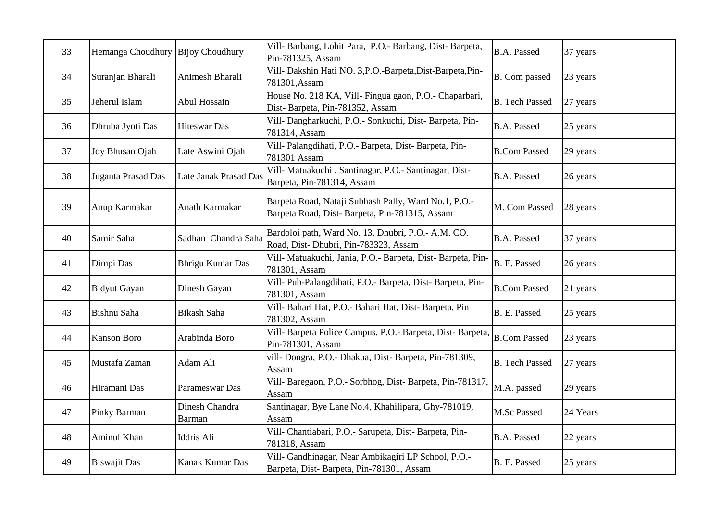| 33 | Hemanga Choudhury Bijoy Choudhury |                                 | Vill- Barbang, Lohit Para, P.O.- Barbang, Dist- Barpeta,<br>Pin-781325, Assam                         | <b>B.A. Passed</b>    | 37 years |
|----|-----------------------------------|---------------------------------|-------------------------------------------------------------------------------------------------------|-----------------------|----------|
| 34 | Suranjan Bharali                  | Animesh Bharali                 | Vill- Dakshin Hati NO. 3, P.O.-Barpeta, Dist-Barpeta, Pin-<br>781301, Assam                           | B. Com passed         | 23 years |
| 35 | Jeherul Islam                     | Abul Hossain                    | House No. 218 KA, Vill- Fingua gaon, P.O.- Chaparbari,<br>Dist-Barpeta, Pin-781352, Assam             | <b>B.</b> Tech Passed | 27 years |
| 36 | Dhruba Jyoti Das                  | <b>Hiteswar Das</b>             | Vill- Dangharkuchi, P.O.- Sonkuchi, Dist- Barpeta, Pin-<br>781314, Assam                              | <b>B.A. Passed</b>    | 25 years |
| 37 | Joy Bhusan Ojah                   | Late Aswini Ojah                | Vill- Palangdihati, P.O.- Barpeta, Dist-Barpeta, Pin-<br>781301 Assam                                 | <b>B.Com Passed</b>   | 29 years |
| 38 | Juganta Prasad Das                | Late Janak Prasad Das           | Vill- Matuakuchi, Santinagar, P.O.- Santinagar, Dist-<br>Barpeta, Pin-781314, Assam                   | <b>B.A. Passed</b>    | 26 years |
| 39 | Anup Karmakar                     | Anath Karmakar                  | Barpeta Road, Nataji Subhash Pally, Ward No.1, P.O.-<br>Barpeta Road, Dist-Barpeta, Pin-781315, Assam | M. Com Passed         | 28 years |
| 40 | Samir Saha                        | Sadhan Chandra Saha             | Bardoloi path, Ward No. 13, Dhubri, P.O.- A.M. CO.<br>Road, Dist-Dhubri, Pin-783323, Assam            | <b>B.A. Passed</b>    | 37 years |
| 41 | Dimpi Das                         | <b>Bhrigu Kumar Das</b>         | Vill- Matuakuchi, Jania, P.O.- Barpeta, Dist- Barpeta, Pin-<br>781301, Assam                          | B. E. Passed          | 26 years |
| 42 | <b>Bidyut Gayan</b>               | Dinesh Gayan                    | Vill- Pub-Palangdihati, P.O.- Barpeta, Dist- Barpeta, Pin-<br>781301, Assam                           | <b>B.Com Passed</b>   | 21 years |
| 43 | Bishnu Saha                       | Bikash Saha                     | Vill- Bahari Hat, P.O.- Bahari Hat, Dist- Barpeta, Pin<br>781302, Assam                               | B. E. Passed          | 25 years |
| 44 | <b>Kanson Boro</b>                | Arabinda Boro                   | Vill- Barpeta Police Campus, P.O.- Barpeta, Dist- Barpeta,<br>Pin-781301, Assam                       | <b>B.Com Passed</b>   | 23 years |
| 45 | Mustafa Zaman                     | Adam Ali                        | vill-Dongra, P.O.-Dhakua, Dist-Barpeta, Pin-781309,<br>Assam                                          | <b>B.</b> Tech Passed | 27 years |
| 46 | Hiramani Das                      | Parameswar Das                  | Vill- Baregaon, P.O.- Sorbhog, Dist- Barpeta, Pin-781317,<br>Assam                                    | M.A. passed           | 29 years |
| 47 | Pinky Barman                      | Dinesh Chandra<br><b>Barman</b> | Santinagar, Bye Lane No.4, Khahilipara, Ghy-781019,<br>Assam                                          | M.Sc Passed           | 24 Years |
| 48 | Aminul Khan                       | <b>Iddris Ali</b>               | Vill- Chantiabari, P.O.- Sarupeta, Dist- Barpeta, Pin-<br>781318, Assam                               | <b>B.A. Passed</b>    | 22 years |
| 49 | <b>Biswajit Das</b>               | Kanak Kumar Das                 | Vill- Gandhinagar, Near Ambikagiri LP School, P.O.-<br>Barpeta, Dist-Barpeta, Pin-781301, Assam       | B. E. Passed          | 25 years |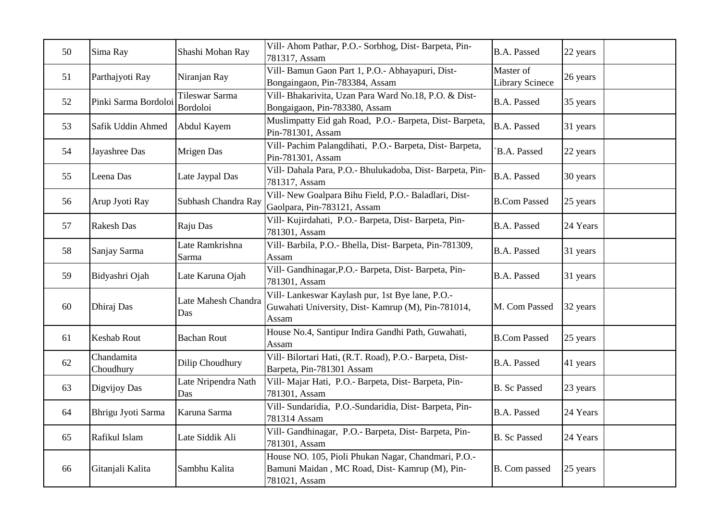| 50 | Sima Ray                | Shashi Mohan Ray                         | Vill- Ahom Pathar, P.O.- Sorbhog, Dist- Barpeta, Pin-<br>781317, Assam                                                 | <b>B.A. Passed</b>                  | 22 years |
|----|-------------------------|------------------------------------------|------------------------------------------------------------------------------------------------------------------------|-------------------------------------|----------|
| 51 | Parthajyoti Ray         | Niranjan Ray                             | Vill- Bamun Gaon Part 1, P.O.- Abhayapuri, Dist-<br>Bongaingaon, Pin-783384, Assam                                     | Master of<br><b>Library Scinece</b> | 26 years |
| 52 | Pinki Sarma Bordoloi    | <b>Tileswar Sarma</b><br><b>Bordoloi</b> | Vill- Bhakarivita, Uzan Para Ward No.18, P.O. & Dist-<br>Bongaigaon, Pin-783380, Assam                                 | <b>B.A. Passed</b>                  | 35 years |
| 53 | Safik Uddin Ahmed       | Abdul Kayem                              | Muslimpatty Eid gah Road, P.O.- Barpeta, Dist- Barpeta,<br>Pin-781301, Assam                                           | <b>B.A. Passed</b>                  | 31 years |
| 54 | Jayashree Das           | Mrigen Das                               | Vill- Pachim Palangdihati, P.O.- Barpeta, Dist- Barpeta,<br>Pin-781301, Assam                                          | B.A. Passed                         | 22 years |
| 55 | Leena Das               | Late Jaypal Das                          | Vill- Dahala Para, P.O.- Bhulukadoba, Dist- Barpeta, Pin-<br>781317, Assam                                             | <b>B.A. Passed</b>                  | 30 years |
| 56 | Arup Jyoti Ray          | Subhash Chandra Ray                      | Vill- New Goalpara Bihu Field, P.O.- Baladlari, Dist-<br>Gaolpara, Pin-783121, Assam                                   | <b>B.Com Passed</b>                 | 25 years |
| 57 | <b>Rakesh Das</b>       | Raju Das                                 | Vill- Kujirdahati, P.O.- Barpeta, Dist- Barpeta, Pin-<br>781301, Assam                                                 | <b>B.A. Passed</b>                  | 24 Years |
| 58 | Sanjay Sarma            | Late Ramkrishna<br>Sarma                 | Vill- Barbila, P.O.- Bhella, Dist- Barpeta, Pin-781309,<br>Assam                                                       | <b>B.A. Passed</b>                  | 31 years |
| 59 | Bidyashri Ojah          | Late Karuna Ojah                         | Vill- Gandhinagar, P.O.- Barpeta, Dist- Barpeta, Pin-<br>781301, Assam                                                 | <b>B.A. Passed</b>                  | 31 years |
| 60 | Dhiraj Das              | Late Mahesh Chandra<br>Das               | Vill- Lankeswar Kaylash pur, 1st Bye lane, P.O.-<br>Guwahati University, Dist-Kamrup (M), Pin-781014,<br>Assam         | M. Com Passed                       | 32 years |
| 61 | <b>Keshab Rout</b>      | <b>Bachan Rout</b>                       | House No.4, Santipur Indira Gandhi Path, Guwahati,<br>Assam                                                            | <b>B.Com Passed</b>                 | 25 years |
| 62 | Chandamita<br>Choudhury | Dilip Choudhury                          | Vill- Bilortari Hati, (R.T. Road), P.O.- Barpeta, Dist-<br>Barpeta, Pin-781301 Assam                                   | <b>B.A. Passed</b>                  | 41 years |
| 63 | Digvijoy Das            | Late Nripendra Nath<br>Das               | Vill- Majar Hati, P.O.- Barpeta, Dist- Barpeta, Pin-<br>781301, Assam                                                  | <b>B.</b> Sc Passed                 | 23 years |
| 64 | Bhrigu Jyoti Sarma      | Karuna Sarma                             | Vill- Sundaridia, P.O.-Sundaridia, Dist- Barpeta, Pin-<br>781314 Assam                                                 | <b>B.A. Passed</b>                  | 24 Years |
| 65 | Rafikul Islam           | Late Siddik Ali                          | Vill- Gandhinagar, P.O.- Barpeta, Dist- Barpeta, Pin-<br>781301, Assam                                                 | <b>B.</b> Sc Passed                 | 24 Years |
| 66 | Gitanjali Kalita        | Sambhu Kalita                            | House NO. 105, Pioli Phukan Nagar, Chandmari, P.O.-<br>Bamuni Maidan, MC Road, Dist- Kamrup (M), Pin-<br>781021, Assam | B. Com passed                       | 25 years |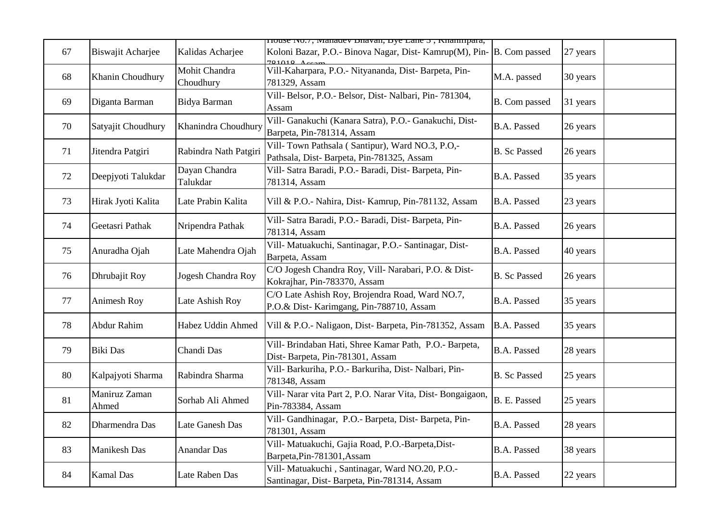| 67 | Biswajit Acharjee      | Kalidas Acharjee           | nouse ivo. <i>i</i> , manauev bnavan, bye Lane 5, Knamipara,<br>Koloni Bazar, P.O.- Binova Nagar, Dist-Kamrup(M), Pin- B. Com passed<br>$701010$ $\lambda$ . |                     | 27 years |
|----|------------------------|----------------------------|--------------------------------------------------------------------------------------------------------------------------------------------------------------|---------------------|----------|
| 68 | Khanin Choudhury       | Mohit Chandra<br>Choudhury | Vill-Kaharpara, P.O.- Nityananda, Dist-Barpeta, Pin-<br>781329, Assam                                                                                        | M.A. passed         | 30 years |
| 69 | Diganta Barman         | Bidya Barman               | Vill- Belsor, P.O.- Belsor, Dist-Nalbari, Pin-781304,<br>Assam                                                                                               | B. Com passed       | 31 years |
| 70 | Satyajit Choudhury     | Khanindra Choudhury        | Vill- Ganakuchi (Kanara Satra), P.O.- Ganakuchi, Dist-<br>Barpeta, Pin-781314, Assam                                                                         | <b>B.A. Passed</b>  | 26 years |
| 71 | Jitendra Patgiri       | Rabindra Nath Patgiri      | Vill-Town Pathsala (Santipur), Ward NO.3, P.O,-<br>Pathsala, Dist-Barpeta, Pin-781325, Assam                                                                 | <b>B.</b> Sc Passed | 26 years |
| 72 | Deepjyoti Talukdar     | Dayan Chandra<br>Talukdar  | Vill- Satra Baradi, P.O.- Baradi, Dist- Barpeta, Pin-<br>781314, Assam                                                                                       | <b>B.A. Passed</b>  | 35 years |
| 73 | Hirak Jyoti Kalita     | Late Prabin Kalita         | Vill & P.O.- Nahira, Dist- Kamrup, Pin-781132, Assam                                                                                                         | <b>B.A. Passed</b>  | 23 years |
| 74 | Geetasri Pathak        | Nripendra Pathak           | Vill- Satra Baradi, P.O.- Baradi, Dist- Barpeta, Pin-<br>781314, Assam                                                                                       | B.A. Passed         | 26 years |
| 75 | Anuradha Ojah          | Late Mahendra Ojah         | Vill- Matuakuchi, Santinagar, P.O.- Santinagar, Dist-<br>Barpeta, Assam                                                                                      | <b>B.A. Passed</b>  | 40 years |
| 76 | Dhrubajit Roy          | Jogesh Chandra Roy         | C/O Jogesh Chandra Roy, Vill- Narabari, P.O. & Dist-<br>Kokrajhar, Pin-783370, Assam                                                                         | <b>B.</b> Sc Passed | 26 years |
| 77 | Animesh Roy            | Late Ashish Roy            | C/O Late Ashish Roy, Brojendra Road, Ward NO.7,<br>P.O.& Dist-Karimgang, Pin-788710, Assam                                                                   | <b>B.A. Passed</b>  | 35 years |
| 78 | Abdur Rahim            | Habez Uddin Ahmed          | Vill & P.O.- Naligaon, Dist-Barpeta, Pin-781352, Assam                                                                                                       | <b>B.A. Passed</b>  | 35 years |
| 79 | <b>Biki</b> Das        | Chandi Das                 | Vill- Brindaban Hati, Shree Kamar Path, P.O.- Barpeta,<br>Dist-Barpeta, Pin-781301, Assam                                                                    | <b>B.A. Passed</b>  | 28 years |
| 80 | Kalpajyoti Sharma      | Rabindra Sharma            | Vill- Barkuriha, P.O.- Barkuriha, Dist- Nalbari, Pin-<br>781348, Assam                                                                                       | <b>B.</b> Sc Passed | 25 years |
| 81 | Maniruz Zaman<br>Ahmed | Sorhab Ali Ahmed           | Vill- Narar vita Part 2, P.O. Narar Vita, Dist- Bongaigaon,<br>Pin-783384, Assam                                                                             | B. E. Passed        | 25 years |
| 82 | Dharmendra Das         | Late Ganesh Das            | Vill- Gandhinagar, P.O.- Barpeta, Dist- Barpeta, Pin-<br>781301, Assam                                                                                       | <b>B.A. Passed</b>  | 28 years |
| 83 | Manikesh Das           | Anandar Das                | Vill- Matuakuchi, Gajia Road, P.O.-Barpeta, Dist-<br>Barpeta, Pin-781301, Assam                                                                              | B.A. Passed         | 38 years |
| 84 | Kamal Das              | Late Raben Das             | Vill- Matuakuchi, Santinagar, Ward NO.20, P.O.-<br>Santinagar, Dist-Barpeta, Pin-781314, Assam                                                               | B.A. Passed         | 22 years |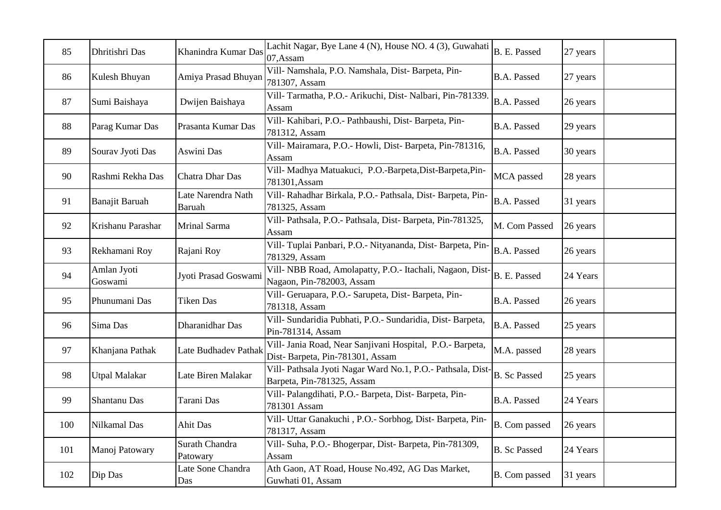| 85  | Dhritishri Das         | Khanindra Kumar Das                 | Lachit Nagar, Bye Lane 4 (N), House NO. 4 (3), Guwahati<br>07, Assam                         | B. E. Passed        | 27 years |
|-----|------------------------|-------------------------------------|----------------------------------------------------------------------------------------------|---------------------|----------|
| 86  | Kulesh Bhuyan          | Amiya Prasad Bhuyan                 | Vill- Namshala, P.O. Namshala, Dist- Barpeta, Pin-<br>781307, Assam                          | <b>B.A. Passed</b>  | 27 years |
| 87  | Sumi Baishaya          | Dwijen Baishaya                     | Vill-Tarmatha, P.O.- Arikuchi, Dist-Nalbari, Pin-781339<br>Assam                             | <b>B.A. Passed</b>  | 26 years |
| 88  | Parag Kumar Das        | Prasanta Kumar Das                  | Vill- Kahibari, P.O.- Pathbaushi, Dist- Barpeta, Pin-<br>781312, Assam                       | <b>B.A. Passed</b>  | 29 years |
| 89  | Sourav Jyoti Das       | Aswini Das                          | Vill- Mairamara, P.O.- Howli, Dist- Barpeta, Pin-781316,<br>Assam                            | <b>B.A. Passed</b>  | 30 years |
| 90  | Rashmi Rekha Das       | Chatra Dhar Das                     | Vill- Madhya Matuakuci, P.O.-Barpeta, Dist-Barpeta, Pin-<br>781301, Assam                    | MCA passed          | 28 years |
| 91  | Banajit Baruah         | Late Narendra Nath<br><b>Baruah</b> | Vill- Rahadhar Birkala, P.O.- Pathsala, Dist- Barpeta, Pin-<br>781325, Assam                 | <b>B.A. Passed</b>  | 31 years |
| 92  | Krishanu Parashar      | Mrinal Sarma                        | Vill- Pathsala, P.O.- Pathsala, Dist-Barpeta, Pin-781325,<br>Assam                           | M. Com Passed       | 26 years |
| 93  | Rekhamani Roy          | Rajani Roy                          | Vill- Tuplai Panbari, P.O.- Nityananda, Dist- Barpeta, Pin-<br>781329, Assam                 | <b>B.A. Passed</b>  | 26 years |
| 94  | Amlan Jyoti<br>Goswami | Jyoti Prasad Goswami                | Vill- NBB Road, Amolapatty, P.O.- Itachali, Nagaon, Dist-<br>Nagaon, Pin-782003, Assam       | B. E. Passed        | 24 Years |
| 95  | Phunumani Das          | <b>Tiken Das</b>                    | Vill- Geruapara, P.O.- Sarupeta, Dist- Barpeta, Pin-<br>781318, Assam                        | <b>B.A. Passed</b>  | 26 years |
| 96  | Sima Das               | Dharanidhar Das                     | Vill- Sundaridia Pubhati, P.O.- Sundaridia, Dist- Barpeta,<br>Pin-781314, Assam              | <b>B.A. Passed</b>  | 25 years |
| 97  | Khanjana Pathak        | Late Budhadev Pathak                | Vill- Jania Road, Near Sanjivani Hospital, P.O.- Barpeta,<br>Dist-Barpeta, Pin-781301, Assam | M.A. passed         | 28 years |
| 98  | <b>Utpal Malakar</b>   | Late Biren Malakar                  | Vill- Pathsala Jyoti Nagar Ward No.1, P.O.- Pathsala, Dist-<br>Barpeta, Pin-781325, Assam    | <b>B.</b> Sc Passed | 25 years |
| 99  | Shantanu Das           | Tarani Das                          | Vill- Palangdihati, P.O.- Barpeta, Dist- Barpeta, Pin-<br>781301 Assam                       | <b>B.A. Passed</b>  | 24 Years |
| 100 | Nilkamal Das           | <b>Ahit Das</b>                     | Vill- Uttar Ganakuchi, P.O.- Sorbhog, Dist- Barpeta, Pin-<br>781317, Assam                   | B. Com passed       | 26 years |
| 101 | Manoj Patowary         | Surath Chandra<br>Patowary          | Vill- Suha, P.O.- Bhogerpar, Dist- Barpeta, Pin-781309,<br>Assam                             | <b>B.</b> Sc Passed | 24 Years |
| 102 | Dip Das                | Late Sone Chandra<br>Das            | Ath Gaon, AT Road, House No.492, AG Das Market,<br>Guwhati 01, Assam                         | B. Com passed       | 31 years |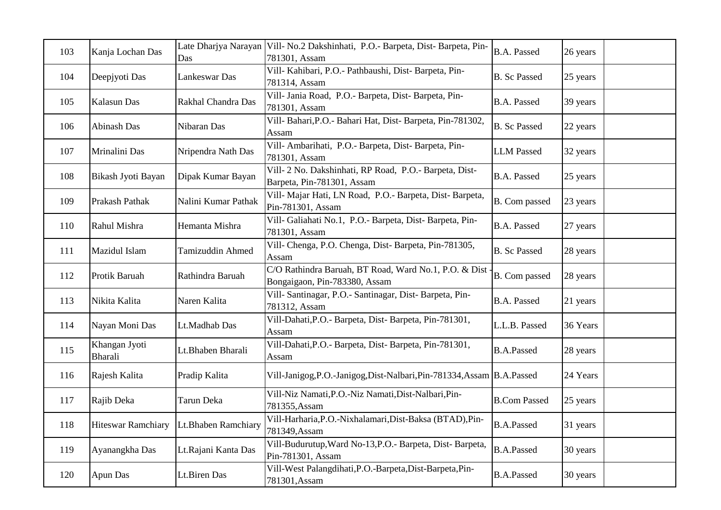| 103 | Kanja Lochan Das                | Late Dharjya Narayan<br>Das | Vill- No.2 Dakshinhati, P.O.- Barpeta, Dist-Barpeta, Pin-<br>781301, Assam             | <b>B.A. Passed</b>  | 26 years |
|-----|---------------------------------|-----------------------------|----------------------------------------------------------------------------------------|---------------------|----------|
| 104 | Deepjyoti Das                   | Lankeswar Das               | Vill- Kahibari, P.O.- Pathbaushi, Dist- Barpeta, Pin-<br>781314, Assam                 | <b>B.</b> Sc Passed | 25 years |
| 105 | Kalasun Das                     | Rakhal Chandra Das          | Vill- Jania Road, P.O.- Barpeta, Dist- Barpeta, Pin-<br>781301, Assam                  | <b>B.A. Passed</b>  | 39 years |
| 106 | Abinash Das                     | Nibaran Das                 | Vill- Bahari, P.O. - Bahari Hat, Dist- Barpeta, Pin-781302,<br>Assam                   | <b>B.</b> Sc Passed | 22 years |
| 107 | Mrinalini Das                   | Nripendra Nath Das          | Vill- Ambarihati, P.O.- Barpeta, Dist- Barpeta, Pin-<br>781301, Assam                  | <b>LLM</b> Passed   | 32 years |
| 108 | Bikash Jyoti Bayan              | Dipak Kumar Bayan           | Vill- 2 No. Dakshinhati, RP Road, P.O.- Barpeta, Dist-<br>Barpeta, Pin-781301, Assam   | <b>B.A. Passed</b>  | 25 years |
| 109 | Prakash Pathak                  | Nalini Kumar Pathak         | Vill- Majar Hati, LN Road, P.O.- Barpeta, Dist- Barpeta,<br>Pin-781301, Assam          | B. Com passed       | 23 years |
| 110 | Rahul Mishra                    | Hemanta Mishra              | Vill- Galiahati No.1, P.O.- Barpeta, Dist- Barpeta, Pin-<br>781301, Assam              | <b>B.A. Passed</b>  | 27 years |
| 111 | Mazidul Islam                   | <b>Tamizuddin Ahmed</b>     | Vill- Chenga, P.O. Chenga, Dist-Barpeta, Pin-781305,<br>Assam                          | <b>B.</b> Sc Passed | 28 years |
| 112 | Protik Baruah                   | Rathindra Baruah            | C/O Rathindra Baruah, BT Road, Ward No.1, P.O. & Dist<br>Bongaigaon, Pin-783380, Assam | B. Com passed       | 28 years |
| 113 | Nikita Kalita                   | Naren Kalita                | Vill- Santinagar, P.O.- Santinagar, Dist- Barpeta, Pin-<br>781312, Assam               | <b>B.A. Passed</b>  | 21 years |
| 114 | Nayan Moni Das                  | Lt.Madhab Das               | Vill-Dahati, P.O. - Barpeta, Dist-Barpeta, Pin-781301,<br>Assam                        | L.L.B. Passed       | 36 Years |
| 115 | Khangan Jyoti<br><b>Bharali</b> | Lt.Bhaben Bharali           | Vill-Dahati, P.O. - Barpeta, Dist-Barpeta, Pin-781301,<br>Assam                        | <b>B.A.Passed</b>   | 28 years |
| 116 | Rajesh Kalita                   | Pradip Kalita               | Vill-Janigog, P.O.-Janigog, Dist-Nalbari, Pin-781334, Assam B.A. Passed                |                     | 24 Years |
| 117 | Rajib Deka                      | Tarun Deka                  | Vill-Niz Namati, P.O.-Niz Namati, Dist-Nalbari, Pin-<br>781355, Assam                  | <b>B.Com Passed</b> | 25 years |
| 118 | <b>Hiteswar Ramchiary</b>       | Lt.Bhaben Ramchiary         | Vill-Harharia, P.O.-Nixhalamari, Dist-Baksa (BTAD), Pin-<br>781349, Assam              | <b>B.A.Passed</b>   | 31 years |
| 119 | Ayanangkha Das                  | Lt.Rajani Kanta Das         | Vill-Budurutup, Ward No-13, P.O.- Barpeta, Dist-Barpeta,<br>Pin-781301, Assam          | <b>B.A.Passed</b>   | 30 years |
| 120 | Apun Das                        | Lt.Biren Das                | Vill-West Palangdihati, P.O.-Barpeta, Dist-Barpeta, Pin-<br>781301, Assam              | <b>B.A.Passed</b>   | 30 years |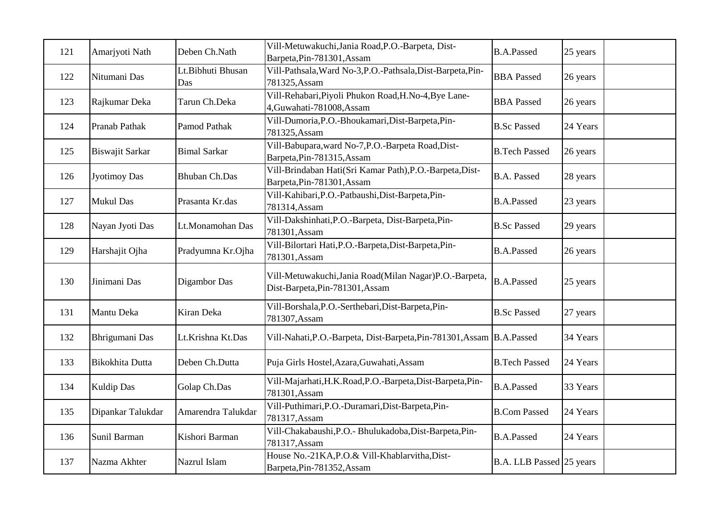| 121 | Amarjyoti Nath      | Deben Ch.Nath            | Vill-Metuwakuchi, Jania Road, P.O.-Barpeta, Dist-<br>Barpeta, Pin-781301, Assam           | <b>B.A.Passed</b>        | 25 years |
|-----|---------------------|--------------------------|-------------------------------------------------------------------------------------------|--------------------------|----------|
| 122 | Nitumani Das        | Lt.Bibhuti Bhusan<br>Das | Vill-Pathsala, Ward No-3, P.O.-Pathsala, Dist-Barpeta, Pin-<br>781325, Assam              | <b>BBA</b> Passed        | 26 years |
| 123 | Rajkumar Deka       | Tarun Ch.Deka            | Vill-Rehabari, Piyoli Phukon Road, H.No-4, Bye Lane-<br>4, Guwahati-781008, Assam         | <b>BBA</b> Passed        | 26 years |
| 124 | Pranab Pathak       | Pamod Pathak             | Vill-Dumoria, P.O.-Bhoukamari, Dist-Barpeta, Pin-<br>781325, Assam                        | <b>B.Sc Passed</b>       | 24 Years |
| 125 | Biswajit Sarkar     | <b>Bimal Sarkar</b>      | Vill-Babupara, ward No-7, P.O.-Barpeta Road, Dist-<br>Barpeta, Pin-781315, Assam          | <b>B.Tech Passed</b>     | 26 years |
| 126 | <b>Jyotimoy Das</b> | <b>Bhuban Ch.Das</b>     | Vill-Brindaban Hati(Sri Kamar Path), P.O.-Barpeta, Dist-<br>Barpeta, Pin-781301, Assam    | <b>B.A. Passed</b>       | 28 years |
| 127 | <b>Mukul Das</b>    | Prasanta Kr.das          | Vill-Kahibari, P.O.-Patbaushi, Dist-Barpeta, Pin-<br>781314, Assam                        | <b>B.A.Passed</b>        | 23 years |
| 128 | Nayan Jyoti Das     | Lt.Monamohan Das         | Vill-Dakshinhati, P.O.-Barpeta, Dist-Barpeta, Pin-<br>781301, Assam                       | <b>B.Sc Passed</b>       | 29 years |
| 129 | Harshajit Ojha      | Pradyumna Kr.Ojha        | Vill-Bilortari Hati, P.O.-Barpeta, Dist-Barpeta, Pin-<br>781301, Assam                    | <b>B.A.Passed</b>        | 26 years |
| 130 | Jinimani Das        | Digambor Das             | Vill-Metuwakuchi, Jania Road(Milan Nagar)P.O.-Barpeta,<br>Dist-Barpeta, Pin-781301, Assam | <b>B.A.Passed</b>        | 25 years |
| 131 | Mantu Deka          | Kiran Deka               | Vill-Borshala, P.O.-Serthebari, Dist-Barpeta, Pin-<br>781307, Assam                       | <b>B.Sc Passed</b>       | 27 years |
| 132 | Bhrigumani Das      | Lt.Krishna Kt.Das        | Vill-Nahati, P.O.-Barpeta, Dist-Barpeta, Pin-781301, Assam   B.A. Passed                  |                          | 34 Years |
| 133 | Bikokhita Dutta     | Deben Ch.Dutta           | Puja Girls Hostel, Azara, Guwahati, Assam                                                 | <b>B.Tech Passed</b>     | 24 Years |
| 134 | <b>Kuldip Das</b>   | Golap Ch.Das             | Vill-Majarhati, H.K.Road, P.O.-Barpeta, Dist-Barpeta, Pin-<br>781301, Assam               | <b>B.A.Passed</b>        | 33 Years |
| 135 | Dipankar Talukdar   | Amarendra Talukdar       | Vill-Puthimari, P.O.-Duramari, Dist-Barpeta, Pin-<br>781317, Assam                        | <b>B.Com Passed</b>      | 24 Years |
| 136 | Sunil Barman        | Kishori Barman           | Vill-Chakabaushi, P.O.- Bhulukadoba, Dist-Barpeta, Pin-<br>781317, Assam                  | <b>B.A.Passed</b>        | 24 Years |
| 137 | Nazma Akhter        | Nazrul Islam             | House No.-21KA, P.O.& Vill-Khablarvitha, Dist-<br>Barpeta, Pin-781352, Assam              | B.A. LLB Passed 25 years |          |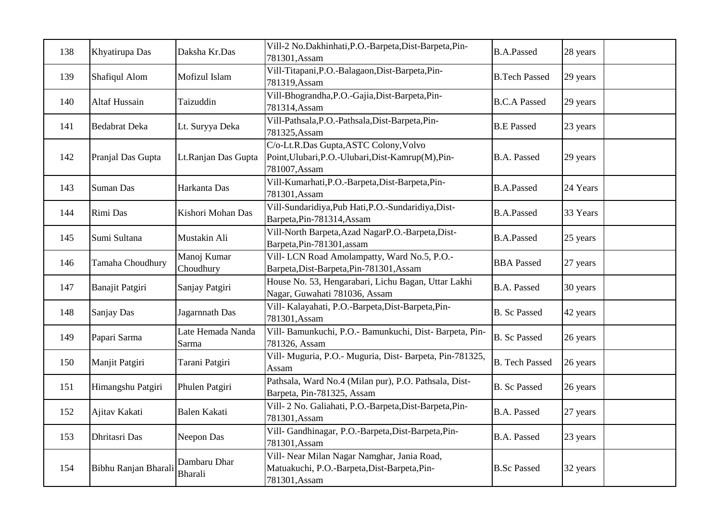| 138 | Khyatirupa Das       | Daksha Kr.Das              | Vill-2 No.Dakhinhati, P.O.-Barpeta, Dist-Barpeta, Pin-<br>781301, Assam                                       | <b>B.A.Passed</b>     | 28 years |
|-----|----------------------|----------------------------|---------------------------------------------------------------------------------------------------------------|-----------------------|----------|
| 139 | Shafiqul Alom        | Mofizul Islam              | Vill-Titapani, P.O.-Balagaon, Dist-Barpeta, Pin-<br>781319, Assam                                             | <b>B.Tech Passed</b>  | 29 years |
| 140 | Altaf Hussain        | Taizuddin                  | Vill-Bhograndha, P.O.-Gajia, Dist-Barpeta, Pin-<br>781314, Assam                                              | <b>B.C.A Passed</b>   | 29 years |
| 141 | <b>Bedabrat Deka</b> | Lt. Suryya Deka            | Vill-Pathsala, P.O.-Pathsala, Dist-Barpeta, Pin-<br>781325, Assam                                             | <b>B.E Passed</b>     | 23 years |
| 142 | Pranjal Das Gupta    | Lt.Ranjan Das Gupta        | C/o-Lt.R.Das Gupta, ASTC Colony, Volvo<br>Point, Ulubari, P.O.-Ulubari, Dist-Kamrup(M), Pin-<br>781007, Assam | <b>B.A. Passed</b>    | 29 years |
| 143 | <b>Suman Das</b>     | Harkanta Das               | Vill-Kumarhati, P.O.-Barpeta, Dist-Barpeta, Pin-<br>781301, Assam                                             | <b>B.A.Passed</b>     | 24 Years |
| 144 | Rimi Das             | Kishori Mohan Das          | Vill-Sundaridiya, Pub Hati, P.O.-Sundaridiya, Dist-<br>Barpeta, Pin-781314, Assam                             | <b>B.A.Passed</b>     | 33 Years |
| 145 | Sumi Sultana         | Mustakin Ali               | Vill-North Barpeta, Azad NagarP.O.-Barpeta, Dist-<br>Barpeta, Pin-781301, assam                               | <b>B.A.Passed</b>     | 25 years |
| 146 | Tamaha Choudhury     | Manoj Kumar<br>Choudhury   | Vill- LCN Road Amolampatty, Ward No.5, P.O.-<br>Barpeta, Dist-Barpeta, Pin-781301, Assam                      | <b>BBA</b> Passed     | 27 years |
| 147 | Banajit Patgiri      | Sanjay Patgiri             | House No. 53, Hengarabari, Lichu Bagan, Uttar Lakhi<br>Nagar, Guwahati 781036, Assam                          | <b>B.A. Passed</b>    | 30 years |
| 148 | Sanjay Das           | Jagarnnath Das             | Vill- Kalayahati, P.O.-Barpeta, Dist-Barpeta, Pin-<br>781301, Assam                                           | <b>B.</b> Sc Passed   | 42 years |
| 149 | Papari Sarma         | Late Hemada Nanda<br>Sarma | Vill- Bamunkuchi, P.O.- Bamunkuchi, Dist- Barpeta, Pin-<br>781326, Assam                                      | <b>B.</b> Sc Passed   | 26 years |
| 150 | Manjit Patgiri       | Tarani Patgiri             | Vill- Muguria, P.O.- Muguria, Dist- Barpeta, Pin-781325,<br>Assam                                             | <b>B.</b> Tech Passed | 26 years |
| 151 | Himangshu Patgiri    | Phulen Patgiri             | Pathsala, Ward No.4 (Milan pur), P.O. Pathsala, Dist-<br>Barpeta, Pin-781325, Assam                           | <b>B.</b> Sc Passed   | 26 years |
| 152 | Ajitav Kakati        | <b>Balen Kakati</b>        | Vill- 2 No. Galiahati, P.O.-Barpeta, Dist-Barpeta, Pin-<br>781301, Assam                                      | B.A. Passed           | 27 years |
| 153 | Dhritasri Das        | Neepon Das                 | Vill- Gandhinagar, P.O.-Barpeta, Dist-Barpeta, Pin-<br>781301, Assam                                          | B.A. Passed           | 23 years |
| 154 | Bibhu Ranjan Bharali | Dambaru Dhar<br>Bharali    | Vill- Near Milan Nagar Namghar, Jania Road,<br>Matuakuchi, P.O.-Barpeta, Dist-Barpeta, Pin-<br>781301, Assam  | <b>B.Sc Passed</b>    | 32 years |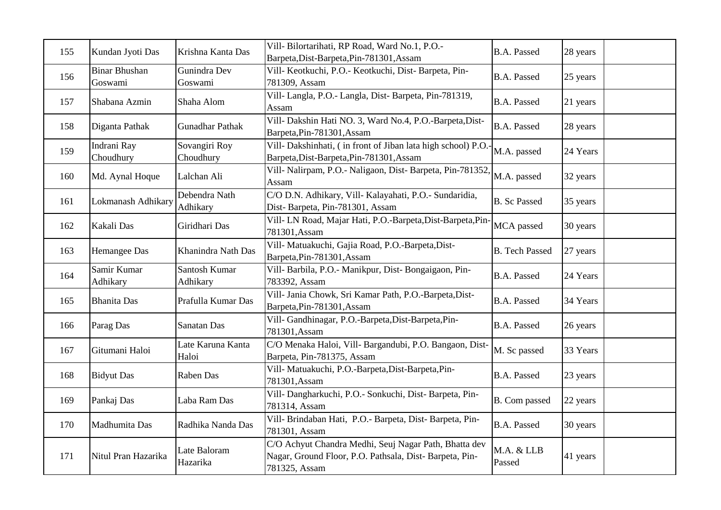| 155 | Kundan Jyoti Das                | Krishna Kanta Das          | Vill- Bilortarihati, RP Road, Ward No.1, P.O.-<br>Barpeta, Dist-Barpeta, Pin-781301, Assam                                       | <b>B.A. Passed</b>    | 28 years |
|-----|---------------------------------|----------------------------|----------------------------------------------------------------------------------------------------------------------------------|-----------------------|----------|
| 156 | <b>Binar Bhushan</b><br>Goswami | Gunindra Dev<br>Goswami    | Vill- Keotkuchi, P.O.- Keotkuchi, Dist- Barpeta, Pin-<br>781309, Assam                                                           | <b>B.A. Passed</b>    | 25 years |
| 157 | Shabana Azmin                   | Shaha Alom                 | Vill- Langla, P.O.- Langla, Dist- Barpeta, Pin-781319,<br>Assam                                                                  | <b>B.A. Passed</b>    | 21 years |
| 158 | Diganta Pathak                  | <b>Gunadhar Pathak</b>     | Vill- Dakshin Hati NO. 3, Ward No.4, P.O.-Barpeta, Dist-<br>Barpeta, Pin-781301, Assam                                           | <b>B.A. Passed</b>    | 28 years |
| 159 | Indrani Ray<br>Choudhury        | Sovangiri Roy<br>Choudhury | Vill- Dakshinhati, (in front of Jiban lata high school) P.O.-<br>Barpeta, Dist-Barpeta, Pin-781301, Assam                        | M.A. passed           | 24 Years |
| 160 | Md. Aynal Hoque                 | Lalchan Ali                | Vill- Nalirpam, P.O.- Naligaon, Dist- Barpeta, Pin-781352,<br>Assam                                                              | M.A. passed           | 32 years |
| 161 | Lokmanash Adhikary              | Debendra Nath<br>Adhikary  | C/O D.N. Adhikary, Vill- Kalayahati, P.O.- Sundaridia,<br>Dist-Barpeta, Pin-781301, Assam                                        | <b>B.</b> Sc Passed   | 35 years |
| 162 | Kakali Das                      | Giridhari Das              | Vill- LN Road, Majar Hati, P.O.-Barpeta, Dist-Barpeta, Pin-<br>781301, Assam                                                     | MCA passed            | 30 years |
| 163 | Hemangee Das                    | Khanindra Nath Das         | Vill- Matuakuchi, Gajia Road, P.O.-Barpeta, Dist-<br>Barpeta, Pin-781301, Assam                                                  | <b>B.</b> Tech Passed | 27 years |
| 164 | Samir Kumar<br>Adhikary         | Santosh Kumar<br>Adhikary  | Vill- Barbila, P.O.- Manikpur, Dist- Bongaigaon, Pin-<br>783392, Assam                                                           | <b>B.A. Passed</b>    | 24 Years |
| 165 | <b>Bhanita</b> Das              | Prafulla Kumar Das         | Vill- Jania Chowk, Sri Kamar Path, P.O.-Barpeta, Dist-<br>Barpeta, Pin-781301, Assam                                             | <b>B.A. Passed</b>    | 34 Years |
| 166 | Parag Das                       | Sanatan Das                | Vill- Gandhinagar, P.O.-Barpeta, Dist-Barpeta, Pin-<br>781301, Assam                                                             | <b>B.A. Passed</b>    | 26 years |
| 167 | Gitumani Haloi                  | Late Karuna Kanta<br>Haloi | C/O Menaka Haloi, Vill- Bargandubi, P.O. Bangaon, Dist-<br>Barpeta, Pin-781375, Assam                                            | M. Sc passed          | 33 Years |
| 168 | <b>Bidyut Das</b>               | Raben Das                  | Vill- Matuakuchi, P.O.-Barpeta, Dist-Barpeta, Pin-<br>781301, Assam                                                              | <b>B.A. Passed</b>    | 23 years |
| 169 | Pankaj Das                      | Laba Ram Das               | Vill- Dangharkuchi, P.O.- Sonkuchi, Dist- Barpeta, Pin-<br>781314, Assam                                                         | B. Com passed         | 22 years |
| 170 | Madhumita Das                   | Radhika Nanda Das          | Vill- Brindaban Hati, P.O.- Barpeta, Dist- Barpeta, Pin-<br>781301, Assam                                                        | <b>B.A. Passed</b>    | 30 years |
| 171 | Nitul Pran Hazarika             | Late Baloram<br>Hazarika   | C/O Achyut Chandra Medhi, Seuj Nagar Path, Bhatta dev<br>Nagar, Ground Floor, P.O. Pathsala, Dist-Barpeta, Pin-<br>781325, Assam | M.A. & LLB<br>Passed  | 41 years |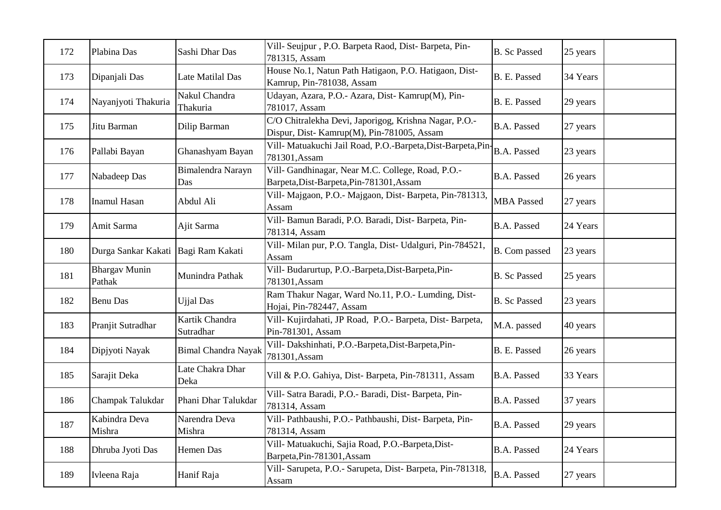| 172 | Plabina Das                    | Sashi Dhar Das              | Vill- Seujpur, P.O. Barpeta Raod, Dist- Barpeta, Pin-<br>781315, Assam                              | <b>B.</b> Sc Passed | 25 years |
|-----|--------------------------------|-----------------------------|-----------------------------------------------------------------------------------------------------|---------------------|----------|
| 173 | Dipanjali Das                  | Late Matilal Das            | House No.1, Natun Path Hatigaon, P.O. Hatigaon, Dist-<br>Kamrup, Pin-781038, Assam                  | B. E. Passed        | 34 Years |
| 174 | Nayanjyoti Thakuria            | Nakul Chandra<br>Thakuria   | Udayan, Azara, P.O.- Azara, Dist- Kamrup(M), Pin-<br>781017, Assam                                  | B. E. Passed        | 29 years |
| 175 | Jitu Barman                    | Dilip Barman                | C/O Chitralekha Devi, Japorigog, Krishna Nagar, P.O.-<br>Dispur, Dist- Kamrup(M), Pin-781005, Assam | <b>B.A. Passed</b>  | 27 years |
| 176 | Pallabi Bayan                  | Ghanashyam Bayan            | Vill- Matuakuchi Jail Road, P.O.-Barpeta, Dist-Barpeta, Pin-<br>781301, Assam                       | <b>B.A. Passed</b>  | 23 years |
| 177 | Nabadeep Das                   | Bimalendra Narayn<br>Das    | Vill- Gandhinagar, Near M.C. College, Road, P.O.-<br>Barpeta, Dist-Barpeta, Pin-781301, Assam       | <b>B.A. Passed</b>  | 26 years |
| 178 | <b>Inamul Hasan</b>            | Abdul Ali                   | Vill- Majgaon, P.O.- Majgaon, Dist- Barpeta, Pin-781313,<br>Assam                                   | <b>MBA</b> Passed   | 27 years |
| 179 | Amit Sarma                     | Ajit Sarma                  | Vill- Bamun Baradi, P.O. Baradi, Dist- Barpeta, Pin-<br>781314, Assam                               | <b>B.A. Passed</b>  | 24 Years |
| 180 | Durga Sankar Kakati            | Bagi Ram Kakati             | Vill- Milan pur, P.O. Tangla, Dist- Udalguri, Pin-784521,<br>Assam                                  | B. Com passed       | 23 years |
| 181 | <b>Bhargav Munin</b><br>Pathak | Munindra Pathak             | Vill- Budarurtup, P.O.-Barpeta, Dist-Barpeta, Pin-<br>781301, Assam                                 | <b>B.</b> Sc Passed | 25 years |
| 182 | <b>Benu Das</b>                | <b>Ujjal Das</b>            | Ram Thakur Nagar, Ward No.11, P.O.- Lumding, Dist-<br>Hojai, Pin-782447, Assam                      | <b>B.</b> Sc Passed | 23 years |
| 183 | Pranjit Sutradhar              | Kartik Chandra<br>Sutradhar | Vill- Kujirdahati, JP Road, P.O.- Barpeta, Dist- Barpeta,<br>Pin-781301, Assam                      | M.A. passed         | 40 years |
| 184 | Dipjyoti Nayak                 | <b>Bimal Chandra Nayak</b>  | Vill- Dakshinhati, P.O.-Barpeta, Dist-Barpeta, Pin-<br>781301, Assam                                | B. E. Passed        | 26 years |
| 185 | Sarajit Deka                   | Late Chakra Dhar<br>Deka    | Vill & P.O. Gahiya, Dist-Barpeta, Pin-781311, Assam                                                 | <b>B.A. Passed</b>  | 33 Years |
| 186 | Champak Talukdar               | Phani Dhar Talukdar         | Vill- Satra Baradi, P.O.- Baradi, Dist- Barpeta, Pin-<br>781314, Assam                              | <b>B.A. Passed</b>  | 37 years |
| 187 | Kabindra Deva<br>Mishra        | Narendra Deva<br>Mishra     | Vill- Pathbaushi, P.O.- Pathbaushi, Dist- Barpeta, Pin-<br>781314, Assam                            | <b>B.A. Passed</b>  | 29 years |
| 188 | Dhruba Jyoti Das               | Hemen Das                   | Vill- Matuakuchi, Sajia Road, P.O.-Barpeta, Dist-<br>Barpeta, Pin-781301, Assam                     | <b>B.A. Passed</b>  | 24 Years |
| 189 | Ivleena Raja                   | Hanif Raja                  | Vill- Sarupeta, P.O.- Sarupeta, Dist- Barpeta, Pin-781318,<br>Assam                                 | <b>B.A. Passed</b>  | 27 years |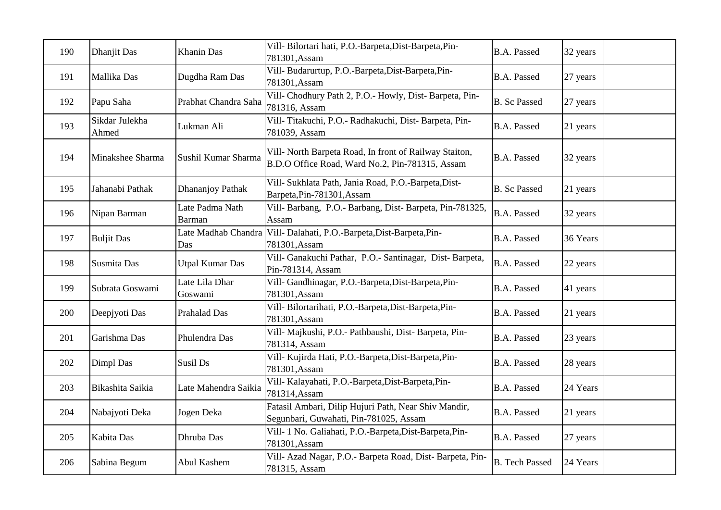| 190 | Dhanjit Das             | Khanin Das                | Vill- Bilortari hati, P.O.-Barpeta, Dist-Barpeta, Pin-<br>781301, Assam                                   | <b>B.A. Passed</b>    | 32 years |
|-----|-------------------------|---------------------------|-----------------------------------------------------------------------------------------------------------|-----------------------|----------|
| 191 | Mallika Das             | Dugdha Ram Das            | Vill- Budarurtup, P.O.-Barpeta, Dist-Barpeta, Pin-<br>781301, Assam                                       | <b>B.A. Passed</b>    | 27 years |
| 192 | Papu Saha               | Prabhat Chandra Saha      | Vill- Chodhury Path 2, P.O.- Howly, Dist- Barpeta, Pin-<br>781316, Assam                                  | <b>B.</b> Sc Passed   | 27 years |
| 193 | Sikdar Julekha<br>Ahmed | Lukman Ali                | Vill-Titakuchi, P.O.- Radhakuchi, Dist-Barpeta, Pin-<br>781039, Assam                                     | <b>B.A. Passed</b>    | 21 years |
| 194 | Minakshee Sharma        | Sushil Kumar Sharma       | Vill- North Barpeta Road, In front of Railway Staiton,<br>B.D.O Office Road, Ward No.2, Pin-781315, Assam | <b>B.A. Passed</b>    | 32 years |
| 195 | Jahanabi Pathak         | Dhananjoy Pathak          | Vill- Sukhlata Path, Jania Road, P.O.-Barpeta, Dist-<br>Barpeta, Pin-781301, Assam                        | <b>B.</b> Sc Passed   | 21 years |
| 196 | Nipan Barman            | Late Padma Nath<br>Barman | Vill- Barbang, P.O.- Barbang, Dist- Barpeta, Pin-781325,<br>Assam                                         | <b>B.A. Passed</b>    | 32 years |
| 197 | <b>Buljit Das</b>       | Das                       | Late Madhab Chandra Vill-Dalahati, P.O.-Barpeta, Dist-Barpeta, Pin-<br>781301, Assam                      | <b>B.A. Passed</b>    | 36 Years |
| 198 | Susmita Das             | <b>Utpal Kumar Das</b>    | Vill- Ganakuchi Pathar, P.O.- Santinagar, Dist- Barpeta,<br>Pin-781314, Assam                             | B.A. Passed           | 22 years |
| 199 | Subrata Goswami         | Late Lila Dhar<br>Goswami | Vill- Gandhinagar, P.O.-Barpeta, Dist-Barpeta, Pin-<br>781301, Assam                                      | <b>B.A. Passed</b>    | 41 years |
| 200 | Deepjyoti Das           | Prahalad Das              | Vill- Bilortarihati, P.O.-Barpeta, Dist-Barpeta, Pin-<br>781301, Assam                                    | <b>B.A. Passed</b>    | 21 years |
| 201 | Garishma Das            | Phulendra Das             | Vill- Majkushi, P.O.- Pathbaushi, Dist- Barpeta, Pin-<br>781314, Assam                                    | <b>B.A. Passed</b>    | 23 years |
| 202 | Dimpl Das               | Susil Ds                  | Vill- Kujirda Hati, P.O.-Barpeta, Dist-Barpeta, Pin-<br>781301, Assam                                     | <b>B.A. Passed</b>    | 28 years |
| 203 | Bikashita Saikia        | Late Mahendra Saikia      | Vill- Kalayahati, P.O.-Barpeta, Dist-Barpeta, Pin-<br>781314, Assam                                       | <b>B.A. Passed</b>    | 24 Years |
| 204 | Nabajyoti Deka          | Jogen Deka                | Fatasil Ambari, Dilip Hujuri Path, Near Shiv Mandir,<br>Segunbari, Guwahati, Pin-781025, Assam            | <b>B.A. Passed</b>    | 21 years |
| 205 | Kabita Das              | Dhruba Das                | Vill- 1 No. Galiahati, P.O.-Barpeta, Dist-Barpeta, Pin-<br>781301, Assam                                  | <b>B.A. Passed</b>    | 27 years |
| 206 | Sabina Begum            | Abul Kashem               | Vill- Azad Nagar, P.O.- Barpeta Road, Dist- Barpeta, Pin-<br>781315, Assam                                | <b>B.</b> Tech Passed | 24 Years |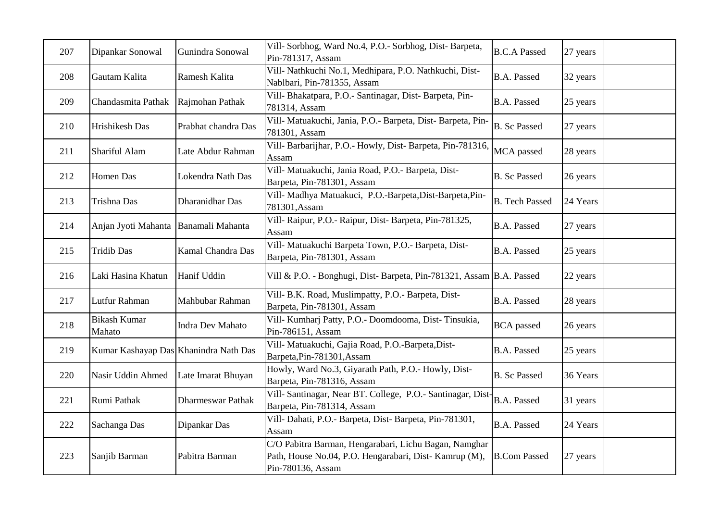| 207 | Dipankar Sonowal                      | Gunindra Sonowal         | Vill- Sorbhog, Ward No.4, P.O.- Sorbhog, Dist- Barpeta,<br>Pin-781317, Assam                                                        | <b>B.C.A Passed</b>   | 27 years |
|-----|---------------------------------------|--------------------------|-------------------------------------------------------------------------------------------------------------------------------------|-----------------------|----------|
| 208 | Gautam Kalita                         | Ramesh Kalita            | Vill- Nathkuchi No.1, Medhipara, P.O. Nathkuchi, Dist-<br>Nablbari, Pin-781355, Assam                                               | <b>B.A. Passed</b>    | 32 years |
| 209 | Chandasmita Pathak                    | Rajmohan Pathak          | Vill- Bhakatpara, P.O.- Santinagar, Dist- Barpeta, Pin-<br>781314, Assam                                                            | <b>B.A. Passed</b>    | 25 years |
| 210 | Hrishikesh Das                        | Prabhat chandra Das      | Vill- Matuakuchi, Jania, P.O.- Barpeta, Dist- Barpeta, Pin-<br>781301, Assam                                                        | <b>B.</b> Sc Passed   | 27 years |
| 211 | Shariful Alam                         | Late Abdur Rahman        | Vill- Barbarijhar, P.O.- Howly, Dist- Barpeta, Pin-781316,<br>Assam                                                                 | MCA passed            | 28 years |
| 212 | <b>Homen</b> Das                      | Lokendra Nath Das        | Vill- Matuakuchi, Jania Road, P.O.- Barpeta, Dist-<br>Barpeta, Pin-781301, Assam                                                    | <b>B.</b> Sc Passed   | 26 years |
| 213 | Trishna Das                           | Dharanidhar Das          | Vill- Madhya Matuakuci, P.O.-Barpeta, Dist-Barpeta, Pin-<br>781301, Assam                                                           | <b>B.</b> Tech Passed | 24 Years |
| 214 | Anjan Jyoti Mahanta                   | Banamali Mahanta         | Vill- Raipur, P.O.- Raipur, Dist- Barpeta, Pin-781325,<br>Assam                                                                     | <b>B.A. Passed</b>    | 27 years |
| 215 | <b>Tridib Das</b>                     | <b>Kamal Chandra Das</b> | Vill- Matuakuchi Barpeta Town, P.O.- Barpeta, Dist-<br>Barpeta, Pin-781301, Assam                                                   | <b>B.A. Passed</b>    | 25 years |
| 216 | Laki Hasina Khatun                    | Hanif Uddin              | Vill & P.O. - Bonghugi, Dist- Barpeta, Pin-781321, Assam B.A. Passed                                                                |                       | 22 years |
| 217 | Lutfur Rahman                         | Mahbubar Rahman          | Vill- B.K. Road, Muslimpatty, P.O.- Barpeta, Dist-<br>Barpeta, Pin-781301, Assam                                                    | <b>B.A. Passed</b>    | 28 years |
| 218 | <b>Bikash Kumar</b><br>Mahato         | <b>Indra Dev Mahato</b>  | Vill- Kumharj Patty, P.O.- Doomdooma, Dist-Tinsukia,<br>Pin-786151, Assam                                                           | <b>BCA</b> passed     | 26 years |
| 219 | Kumar Kashayap Das Khanindra Nath Das |                          | Vill- Matuakuchi, Gajia Road, P.O.-Barpeta, Dist-<br>Barpeta, Pin-781301, Assam                                                     | <b>B.A. Passed</b>    | 25 years |
| 220 | Nasir Uddin Ahmed                     | Late Imarat Bhuyan       | Howly, Ward No.3, Giyarath Path, P.O.- Howly, Dist-<br>Barpeta, Pin-781316, Assam                                                   | <b>B.</b> Sc Passed   | 36 Years |
| 221 | Rumi Pathak                           | <b>Dharmeswar Pathak</b> | Vill- Santinagar, Near BT. College, P.O.- Santinagar, Dist-<br>Barpeta, Pin-781314, Assam                                           | <b>B.A. Passed</b>    | 31 years |
| 222 | Sachanga Das                          | Dipankar Das             | Vill- Dahati, P.O.- Barpeta, Dist- Barpeta, Pin-781301,<br>Assam                                                                    | <b>B.A. Passed</b>    | 24 Years |
| 223 | Sanjib Barman                         | Pabitra Barman           | C/O Pabitra Barman, Hengarabari, Lichu Bagan, Namghar<br>Path, House No.04, P.O. Hengarabari, Dist-Kamrup (M),<br>Pin-780136, Assam | <b>B.Com Passed</b>   | 27 years |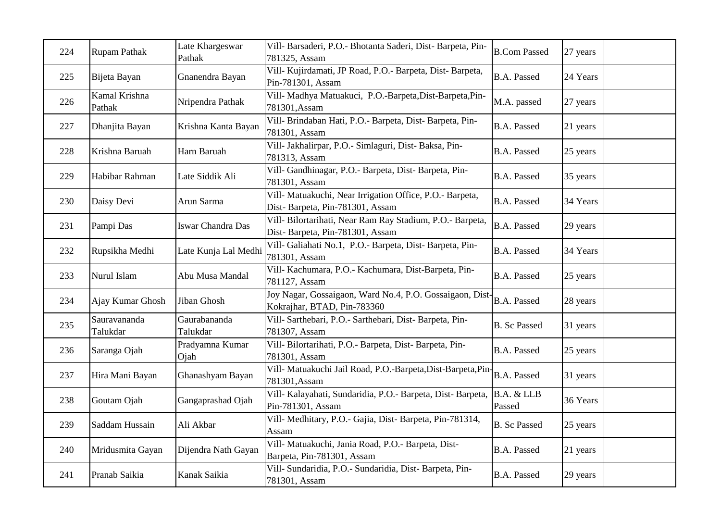| 224 | <b>Rupam Pathak</b>      | Late Khargeswar<br>Pathak | Vill- Barsaderi, P.O.- Bhotanta Saderi, Dist- Barpeta, Pin-<br>781325, Assam                 | <b>B.Com Passed</b>  | 27 years |
|-----|--------------------------|---------------------------|----------------------------------------------------------------------------------------------|----------------------|----------|
| 225 | Bijeta Bayan             | Gnanendra Bayan           | Vill- Kujirdamati, JP Road, P.O.- Barpeta, Dist- Barpeta,<br>Pin-781301, Assam               | <b>B.A. Passed</b>   | 24 Years |
| 226 | Kamal Krishna<br>Pathak  | Nripendra Pathak          | Vill- Madhya Matuakuci, P.O.-Barpeta, Dist-Barpeta, Pin-<br>781301, Assam                    | M.A. passed          | 27 years |
| 227 | Dhanjita Bayan           | Krishna Kanta Bayan       | Vill- Brindaban Hati, P.O.- Barpeta, Dist- Barpeta, Pin-<br>781301, Assam                    | <b>B.A. Passed</b>   | 21 years |
| 228 | Krishna Baruah           | Harn Baruah               | Vill- Jakhalirpar, P.O.- Simlaguri, Dist- Baksa, Pin-<br>781313, Assam                       | <b>B.A. Passed</b>   | 25 years |
| 229 | Habibar Rahman           | Late Siddik Ali           | Vill- Gandhinagar, P.O.- Barpeta, Dist- Barpeta, Pin-<br>781301, Assam                       | <b>B.A. Passed</b>   | 35 years |
| 230 | Daisy Devi               | Arun Sarma                | Vill- Matuakuchi, Near Irrigation Office, P.O.- Barpeta,<br>Dist-Barpeta, Pin-781301, Assam  | <b>B.A. Passed</b>   | 34 Years |
| 231 | Pampi Das                | Iswar Chandra Das         | Vill- Bilortarihati, Near Ram Ray Stadium, P.O.- Barpeta,<br>Dist-Barpeta, Pin-781301, Assam | <b>B.A.</b> Passed   | 29 years |
| 232 | Rupsikha Medhi           | Late Kunja Lal Medhi      | Vill- Galiahati No.1, P.O.- Barpeta, Dist- Barpeta, Pin-<br>781301, Assam                    | <b>B.A. Passed</b>   | 34 Years |
| 233 | Nurul Islam              | Abu Musa Mandal           | Vill- Kachumara, P.O.- Kachumara, Dist-Barpeta, Pin-<br>781127, Assam                        | <b>B.A.</b> Passed   | 25 years |
| 234 | Ajay Kumar Ghosh         | Jiban Ghosh               | Joy Nagar, Gossaigaon, Ward No.4, P.O. Gossaigaon, Dist-<br>Kokrajhar, BTAD, Pin-783360      | <b>B.A.</b> Passed   | 28 years |
| 235 | Sauravananda<br>Talukdar | Gaurabananda<br>Talukdar  | Vill- Sarthebari, P.O.- Sarthebari, Dist- Barpeta, Pin-<br>781307, Assam                     | <b>B.</b> Sc Passed  | 31 years |
| 236 | Saranga Ojah             | Pradyamna Kumar<br>Ojah   | Vill- Bilortarihati, P.O.- Barpeta, Dist- Barpeta, Pin-<br>781301, Assam                     | <b>B.A. Passed</b>   | 25 years |
| 237 | Hira Mani Bayan          | Ghanashyam Bayan          | Vill- Matuakuchi Jail Road, P.O.-Barpeta, Dist-Barpeta, Pin-<br>781301, Assam                | <b>B.A. Passed</b>   | 31 years |
| 238 | Goutam Ojah              | Gangaprashad Ojah         | Vill- Kalayahati, Sundaridia, P.O.- Barpeta, Dist- Barpeta,<br>Pin-781301, Assam             | B.A. & LLB<br>Passed | 36 Years |
| 239 | Saddam Hussain           | Ali Akbar                 | Vill- Medhitary, P.O.- Gajia, Dist- Barpeta, Pin-781314,<br>Assam                            | <b>B.</b> Sc Passed  | 25 years |
| 240 | Mridusmita Gayan         | Dijendra Nath Gayan       | Vill- Matuakuchi, Jania Road, P.O.- Barpeta, Dist-<br>Barpeta, Pin-781301, Assam             | <b>B.A. Passed</b>   | 21 years |
| 241 | Pranab Saikia            | Kanak Saikia              | Vill- Sundaridia, P.O.- Sundaridia, Dist- Barpeta, Pin-<br>781301, Assam                     | <b>B.A. Passed</b>   | 29 years |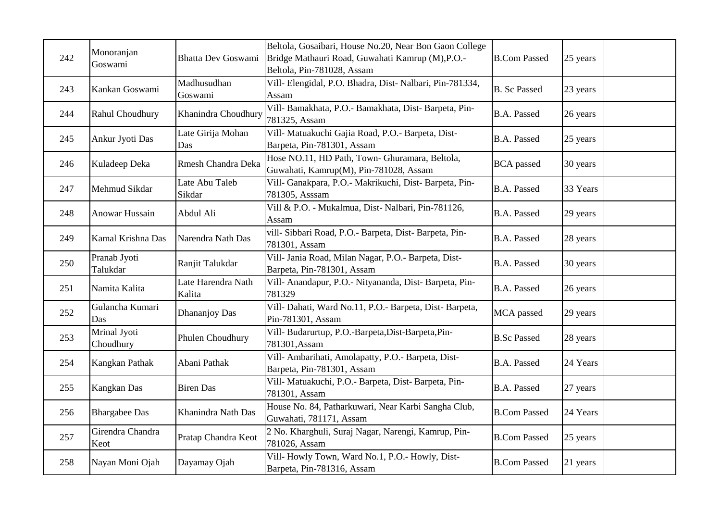| 242 | Monoranjan<br>Goswami     | <b>Bhatta Dev Goswami</b>    | Beltola, Gosaibari, House No.20, Near Bon Gaon College<br>Bridge Mathauri Road, Guwahati Kamrup (M), P.O.-<br>Beltola, Pin-781028, Assam | <b>B.Com Passed</b> | 25 years |  |
|-----|---------------------------|------------------------------|------------------------------------------------------------------------------------------------------------------------------------------|---------------------|----------|--|
| 243 | Kankan Goswami            | Madhusudhan<br>Goswami       | Vill- Elengidal, P.O. Bhadra, Dist- Nalbari, Pin-781334,<br>Assam                                                                        | <b>B.</b> Sc Passed | 23 years |  |
| 244 | Rahul Choudhury           | Khanindra Choudhury          | Vill- Bamakhata, P.O.- Bamakhata, Dist- Barpeta, Pin-<br>781325, Assam                                                                   | <b>B.A. Passed</b>  | 26 years |  |
| 245 | Ankur Jyoti Das           | Late Girija Mohan<br>Das     | Vill- Matuakuchi Gajia Road, P.O.- Barpeta, Dist-<br>Barpeta, Pin-781301, Assam                                                          | <b>B.A. Passed</b>  | 25 years |  |
| 246 | Kuladeep Deka             | Rmesh Chandra Deka           | Hose NO.11, HD Path, Town- Ghuramara, Beltola,<br>Guwahati, Kamrup(M), Pin-781028, Assam                                                 | <b>BCA</b> passed   | 30 years |  |
| 247 | Mehmud Sikdar             | Late Abu Taleb<br>Sikdar     | Vill- Ganakpara, P.O.- Makrikuchi, Dist- Barpeta, Pin-<br>781305, Asssam                                                                 | <b>B.A. Passed</b>  | 33 Years |  |
| 248 | Anowar Hussain            | Abdul Ali                    | Vill & P.O. - Mukalmua, Dist- Nalbari, Pin-781126,<br>Assam                                                                              | <b>B.A. Passed</b>  | 29 years |  |
| 249 | Kamal Krishna Das         | Narendra Nath Das            | vill- Sibbari Road, P.O.- Barpeta, Dist- Barpeta, Pin-<br>781301, Assam                                                                  | B.A. Passed         | 28 years |  |
| 250 | Pranab Jyoti<br>Talukdar  | Ranjit Talukdar              | Vill- Jania Road, Milan Nagar, P.O.- Barpeta, Dist-<br>Barpeta, Pin-781301, Assam                                                        | <b>B.A. Passed</b>  | 30 years |  |
| 251 | Namita Kalita             | Late Harendra Nath<br>Kalita | Vill- Anandapur, P.O.- Nityananda, Dist- Barpeta, Pin-<br>781329                                                                         | <b>B.A. Passed</b>  | 26 years |  |
| 252 | Gulancha Kumari<br>Das    | Dhananjoy Das                | Vill- Dahati, Ward No.11, P.O.- Barpeta, Dist- Barpeta,<br>Pin-781301, Assam                                                             | MCA passed          | 29 years |  |
| 253 | Mrinal Jyoti<br>Choudhury | Phulen Choudhury             | Vill- Budarurtup, P.O.-Barpeta, Dist-Barpeta, Pin-<br>781301, Assam                                                                      | <b>B.Sc Passed</b>  | 28 years |  |
| 254 | Kangkan Pathak            | Abani Pathak                 | Vill- Ambarihati, Amolapatty, P.O.- Barpeta, Dist-<br>Barpeta, Pin-781301, Assam                                                         | <b>B.A. Passed</b>  | 24 Years |  |
| 255 | Kangkan Das               | <b>Biren</b> Das             | Vill- Matuakuchi, P.O.- Barpeta, Dist- Barpeta, Pin-<br>781301, Assam                                                                    | <b>B.A. Passed</b>  | 27 years |  |
| 256 | <b>Bhargabee Das</b>      | Khanindra Nath Das           | House No. 84, Patharkuwari, Near Karbi Sangha Club,<br>Guwahati, 781171, Assam                                                           | <b>B.Com Passed</b> | 24 Years |  |
| 257 | Girendra Chandra<br>Keot  | Pratap Chandra Keot          | 2 No. Kharghuli, Suraj Nagar, Narengi, Kamrup, Pin-<br>781026, Assam                                                                     | <b>B.Com Passed</b> | 25 years |  |
| 258 | Nayan Moni Ojah           | Dayamay Ojah                 | Vill- Howly Town, Ward No.1, P.O.- Howly, Dist-<br>Barpeta, Pin-781316, Assam                                                            | <b>B.Com Passed</b> | 21 years |  |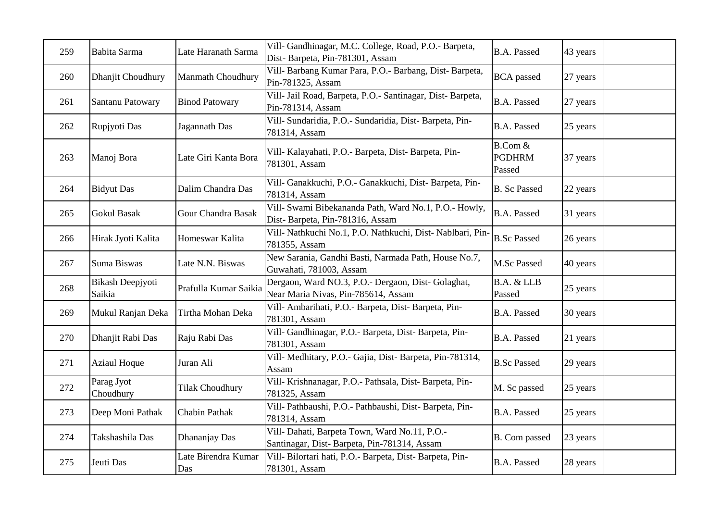| 259 | Babita Sarma               | Late Haranath Sarma        | Vill- Gandhinagar, M.C. College, Road, P.O.- Barpeta,<br>Dist-Barpeta, Pin-781301, Assam     | <b>B.A. Passed</b>                 | 43 years |
|-----|----------------------------|----------------------------|----------------------------------------------------------------------------------------------|------------------------------------|----------|
| 260 | Dhanjit Choudhury          | <b>Manmath Choudhury</b>   | Vill- Barbang Kumar Para, P.O.- Barbang, Dist- Barpeta,<br>Pin-781325, Assam                 | <b>BCA</b> passed                  | 27 years |
| 261 | Santanu Patowary           | <b>Binod Patowary</b>      | Vill- Jail Road, Barpeta, P.O.- Santinagar, Dist- Barpeta,<br>Pin-781314, Assam              | <b>B.A. Passed</b>                 | 27 years |
| 262 | Rupjyoti Das               | Jagannath Das              | Vill- Sundaridia, P.O.- Sundaridia, Dist- Barpeta, Pin-<br>781314, Assam                     | <b>B.A. Passed</b>                 | 25 years |
| 263 | Manoj Bora                 | Late Giri Kanta Bora       | Vill- Kalayahati, P.O.- Barpeta, Dist- Barpeta, Pin-<br>781301, Assam                        | B.Com &<br><b>PGDHRM</b><br>Passed | 37 years |
| 264 | <b>Bidyut</b> Das          | Dalim Chandra Das          | Vill- Ganakkuchi, P.O.- Ganakkuchi, Dist- Barpeta, Pin-<br>781314, Assam                     | <b>B.</b> Sc Passed                | 22 years |
| 265 | <b>Gokul Basak</b>         | Gour Chandra Basak         | Vill- Swami Bibekananda Path, Ward No.1, P.O.- Howly,<br>Dist-Barpeta, Pin-781316, Assam     | <b>B.A. Passed</b>                 | 31 years |
| 266 | Hirak Jyoti Kalita         | Homeswar Kalita            | Vill- Nathkuchi No.1, P.O. Nathkuchi, Dist- Nablbari, Pin-<br>781355, Assam                  | <b>B.Sc Passed</b>                 | 26 years |
| 267 | Suma Biswas                | Late N.N. Biswas           | New Sarania, Gandhi Basti, Narmada Path, House No.7,<br>Guwahati, 781003, Assam              | M.Sc Passed                        | 40 years |
| 268 | Bikash Deepjyoti<br>Saikia | Prafulla Kumar Saikia      | Dergaon, Ward NO.3, P.O.- Dergaon, Dist-Golaghat,<br>Near Maria Nivas, Pin-785614, Assam     | B.A. & LLB<br>Passed               | 25 years |
| 269 | Mukul Ranjan Deka          | Tirtha Mohan Deka          | Vill- Ambarihati, P.O.- Barpeta, Dist- Barpeta, Pin-<br>781301, Assam                        | B.A. Passed                        | 30 years |
| 270 | Dhanjit Rabi Das           | Raju Rabi Das              | Vill- Gandhinagar, P.O.- Barpeta, Dist- Barpeta, Pin-<br>781301, Assam                       | <b>B.A. Passed</b>                 | 21 years |
| 271 | <b>Aziaul Hoque</b>        | Juran Ali                  | Vill- Medhitary, P.O.- Gajia, Dist-Barpeta, Pin-781314,<br>Assam                             | <b>B.Sc Passed</b>                 | 29 years |
| 272 | Parag Jyot<br>Choudhury    | <b>Tilak Choudhury</b>     | Vill- Krishnanagar, P.O.- Pathsala, Dist- Barpeta, Pin-<br>781325, Assam                     | M. Sc passed                       | 25 years |
| 273 | Deep Moni Pathak           | Chabin Pathak              | Vill- Pathbaushi, P.O.- Pathbaushi, Dist- Barpeta, Pin-<br>781314, Assam                     | <b>B.A. Passed</b>                 | 25 years |
| 274 | Takshashila Das            | Dhananjay Das              | Vill- Dahati, Barpeta Town, Ward No.11, P.O.-<br>Santinagar, Dist-Barpeta, Pin-781314, Assam | B. Com passed                      | 23 years |
| 275 | Jeuti Das                  | Late Birendra Kumar<br>Das | Vill- Bilortari hati, P.O.- Barpeta, Dist- Barpeta, Pin-<br>781301, Assam                    | <b>B.A. Passed</b>                 | 28 years |